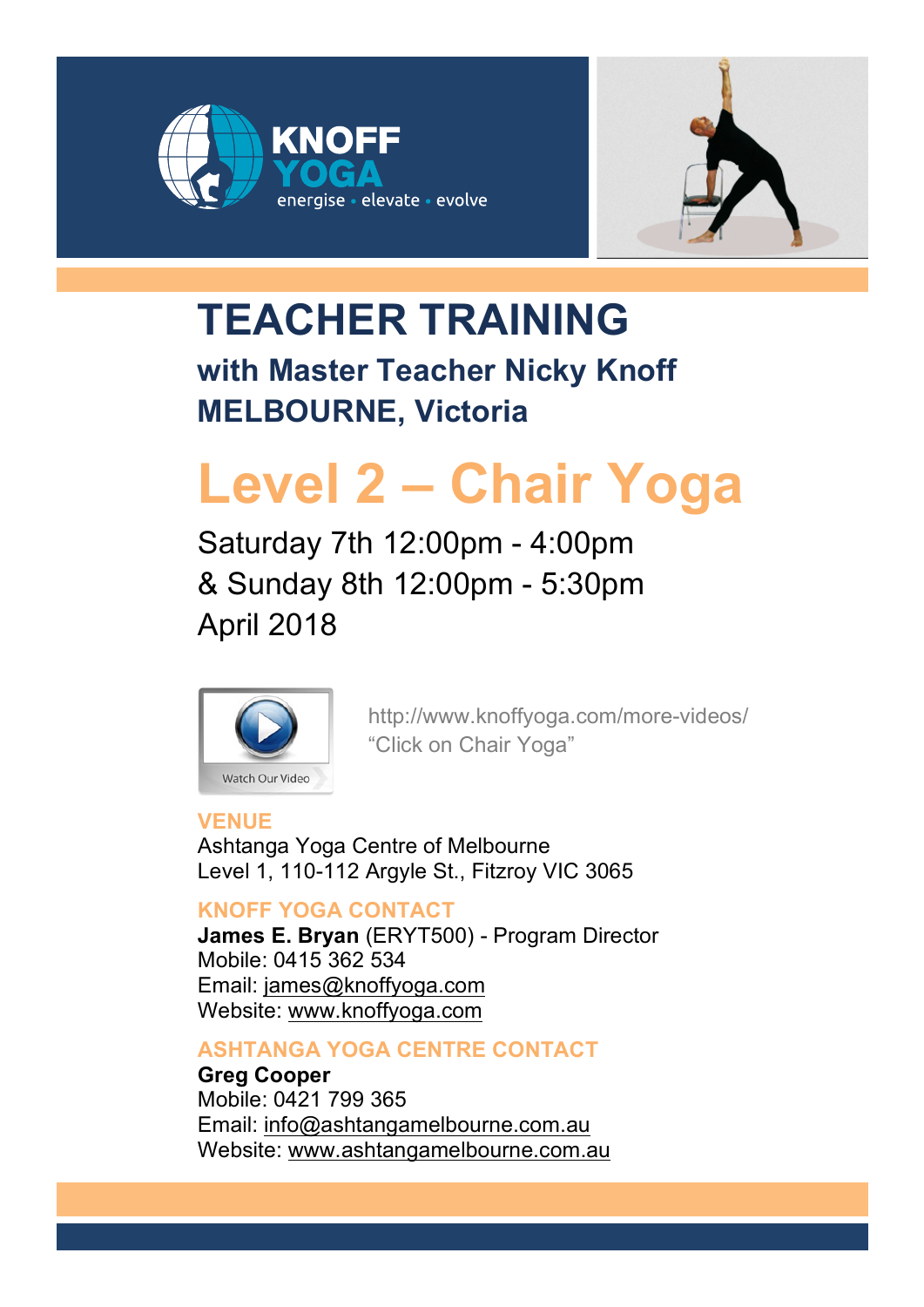



# **TEACHER TRAINING**

**with Master Teacher Nicky Knoff MELBOURNE, Victoria**

# **Level 2 – Chair Yoga**

Saturday 7th 12:00pm - 4:00pm & Sunday 8th 12:00pm - 5:30pm April 2018



http://www.knoffyoga.com/more-videos/ "Click on Chair Yoga"

## **VENUE**

Ashtanga Yoga Centre of Melbourne Level 1, 110-112 Argyle St., Fitzroy VIC 3065

## **KNOFF YOGA CONTACT**

**James E. Bryan** (ERYT500) - Program Director Mobile: 0415 362 534 Email: james@knoffyoga.com Website: www.knoffyoga.com

## **ASHTANGA YOGA CENTRE CONTACT**

**Greg Cooper** Mobile: 0421 799 365 Email: info@ashtangamelbourne.com.au Website: www.ashtangamelbourne.com.au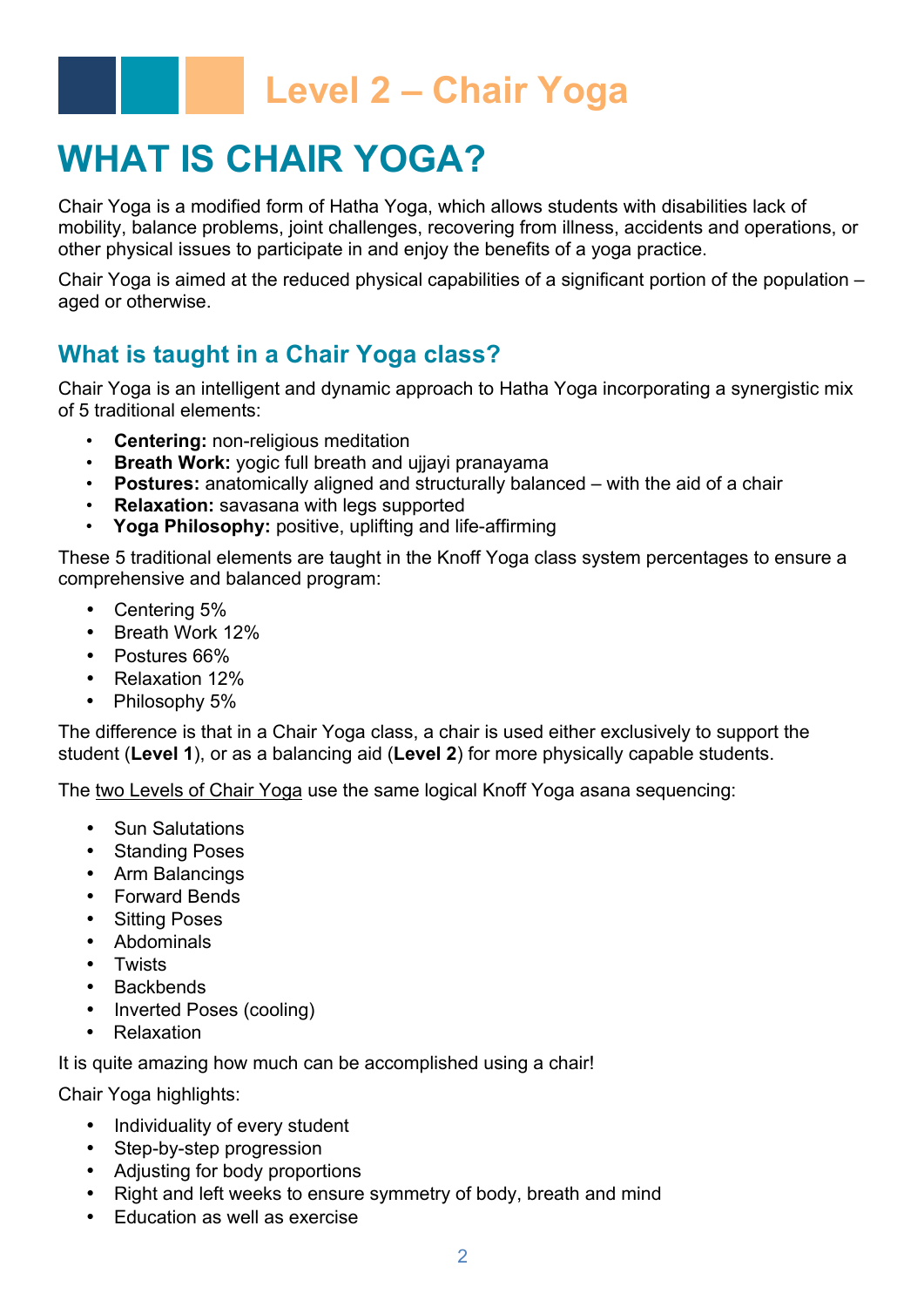## **WHAT IS CHAIR YOGA?**

Chair Yoga is a modified form of Hatha Yoga, which allows students with disabilities lack of mobility, balance problems, joint challenges, recovering from illness, accidents and operations, or other physical issues to participate in and enjoy the benefits of a yoga practice.

Chair Yoga is aimed at the reduced physical capabilities of a significant portion of the population – aged or otherwise.

## **What is taught in a Chair Yoga class?**

Chair Yoga is an intelligent and dynamic approach to Hatha Yoga incorporating a synergistic mix of 5 traditional elements:

- **Centering:** non-religious meditation
- **Breath Work:** yogic full breath and ujjayi pranayama
- **Postures:** anatomically aligned and structurally balanced with the aid of a chair
- **Relaxation:** savasana with legs supported
- **Yoga Philosophy:** positive, uplifting and life-affirming

These 5 traditional elements are taught in the Knoff Yoga class system percentages to ensure a comprehensive and balanced program:

- Centering 5%
- Breath Work 12%
- Postures 66%
- Relaxation 12%
- Philosophy 5%

The difference is that in a Chair Yoga class, a chair is used either exclusively to support the student (**Level 1**), or as a balancing aid (**Level 2**) for more physically capable students.

The two Levels of Chair Yoga use the same logical Knoff Yoga asana sequencing:

- Sun Salutations
- Standing Poses
- Arm Balancings
- Forward Bends
- Sitting Poses
- Abdominals
- Twists
- Backbends
- Inverted Poses (cooling)
- Relaxation

It is quite amazing how much can be accomplished using a chair!

Chair Yoga highlights:

- Individuality of every student
- Step-by-step progression
- Adjusting for body proportions
- Right and left weeks to ensure symmetry of body, breath and mind
- Education as well as exercise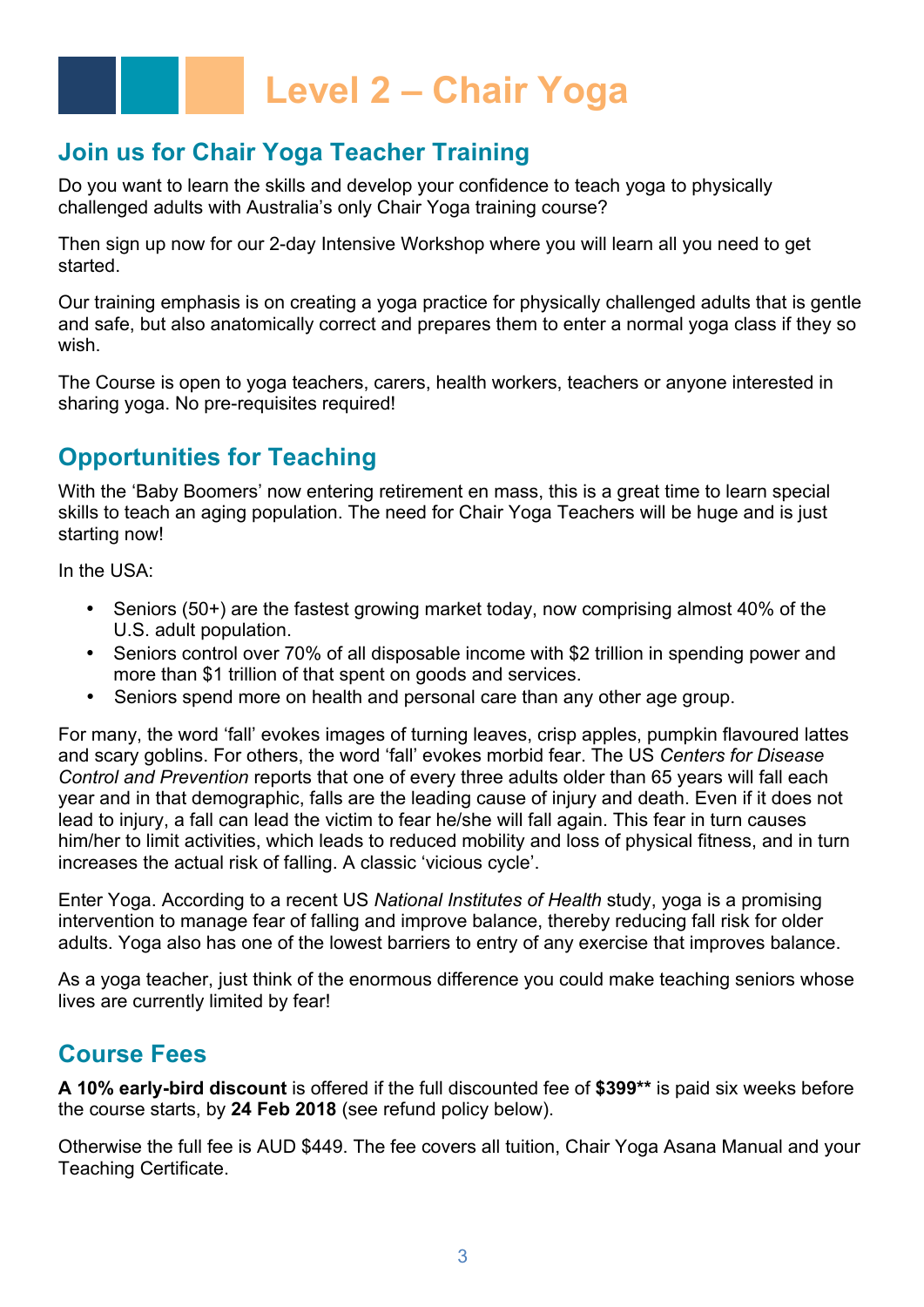## **Join us for Chair Yoga Teacher Training**

Do you want to learn the skills and develop your confidence to teach yoga to physically challenged adults with Australia's only Chair Yoga training course?

Then sign up now for our 2-day Intensive Workshop where you will learn all you need to get started.

Our training emphasis is on creating a yoga practice for physically challenged adults that is gentle and safe, but also anatomically correct and prepares them to enter a normal yoga class if they so wish.

The Course is open to yoga teachers, carers, health workers, teachers or anyone interested in sharing yoga. No pre-requisites required!

## **Opportunities for Teaching**

With the 'Baby Boomers' now entering retirement en mass, this is a great time to learn special skills to teach an aging population. The need for Chair Yoga Teachers will be huge and is just starting now!

In the USA:

- Seniors (50+) are the fastest growing market today, now comprising almost 40% of the U.S. adult population.
- Seniors control over 70% of all disposable income with \$2 trillion in spending power and more than \$1 trillion of that spent on goods and services.
- Seniors spend more on health and personal care than any other age group.

For many, the word 'fall' evokes images of turning leaves, crisp apples, pumpkin flavoured lattes and scary goblins. For others, the word 'fall' evokes morbid fear. The US *Centers for Disease Control and Prevention* reports that one of every three adults older than 65 years will fall each year and in that demographic, falls are the leading cause of injury and death. Even if it does not lead to injury, a fall can lead the victim to fear he/she will fall again. This fear in turn causes him/her to limit activities, which leads to reduced mobility and loss of physical fitness, and in turn increases the actual risk of falling. A classic 'vicious cycle'.

Enter Yoga. According to a recent US *National Institutes of Health* study, yoga is a promising intervention to manage fear of falling and improve balance, thereby reducing fall risk for older adults. Yoga also has one of the lowest barriers to entry of any exercise that improves balance.

As a yoga teacher, just think of the enormous difference you could make teaching seniors whose lives are currently limited by fear!

## **Course Fees**

**A 10% early-bird discount** is offered if the full discounted fee of **\$399\*\*** is paid six weeks before the course starts, by **24 Feb 2018** (see refund policy below).

Otherwise the full fee is AUD \$449. The fee covers all tuition, Chair Yoga Asana Manual and your Teaching Certificate.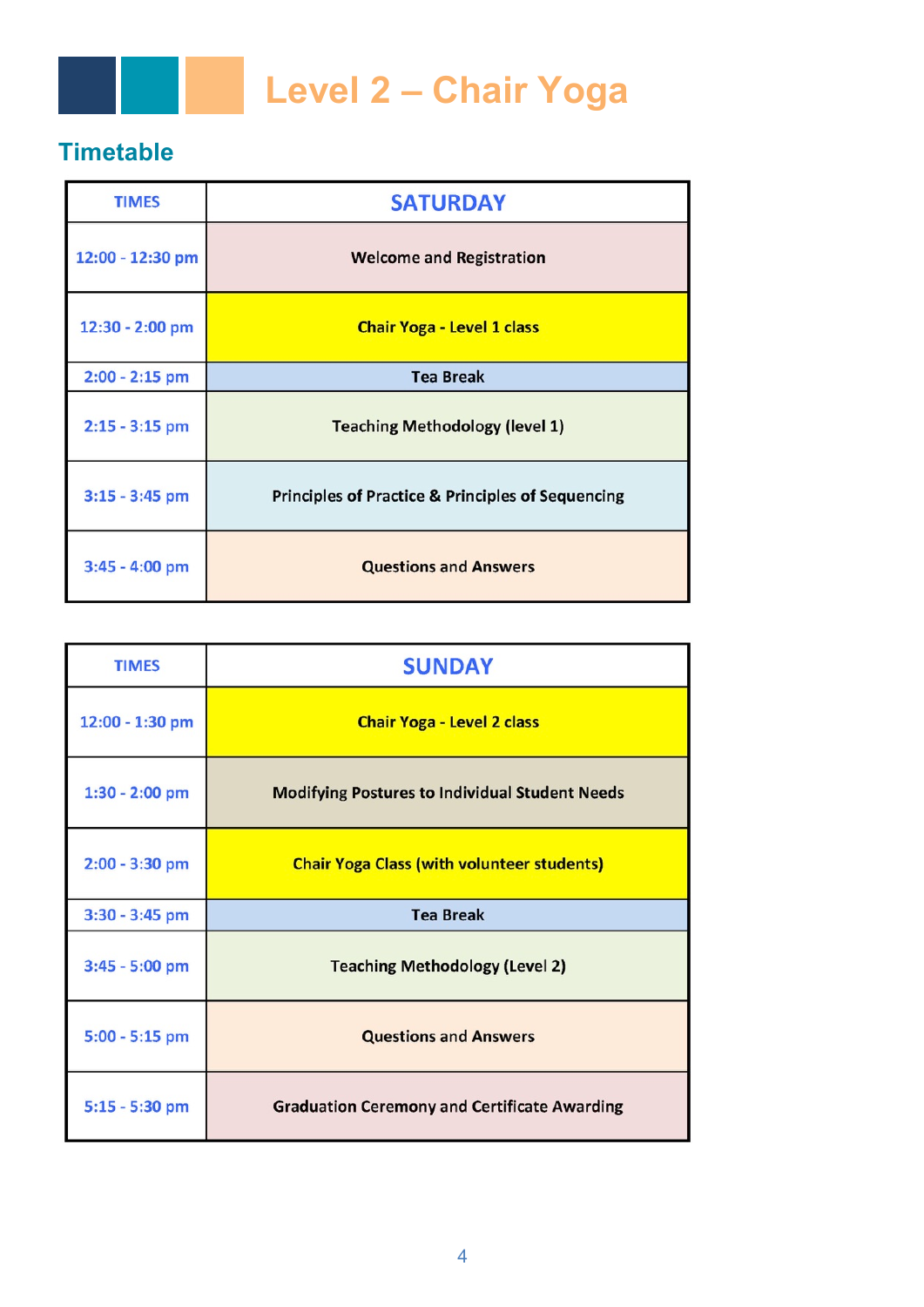

## **Timetable**

| <b>TIMES</b>     | <b>SATURDAY</b>                                              |
|------------------|--------------------------------------------------------------|
| 12:00 - 12:30 pm | <b>Welcome and Registration</b>                              |
| 12:30 - 2:00 pm  | <b>Chair Yoga - Level 1 class</b>                            |
| $2:00 - 2:15$ pm | <b>Tea Break</b>                                             |
| $2:15 - 3:15$ pm | <b>Teaching Methodology (level 1)</b>                        |
| $3:15 - 3:45$ pm | <b>Principles of Practice &amp; Principles of Sequencing</b> |
| 3:45 - 4:00 pm   | <b>Questions and Answers</b>                                 |

| <b>TIMES</b>     | <b>SUNDAY</b>                                         |
|------------------|-------------------------------------------------------|
| 12:00 - 1:30 pm  | <b>Chair Yoga - Level 2 class</b>                     |
| $1:30 - 2:00$ pm | <b>Modifying Postures to Individual Student Needs</b> |
| $2:00 - 3:30$ pm | <b>Chair Yoga Class (with volunteer students)</b>     |
| 3:30 - 3:45 pm   | <b>Tea Break</b>                                      |
| 3:45 - 5:00 pm   | <b>Teaching Methodology (Level 2)</b>                 |
| 5:00 - 5:15 pm   | <b>Questions and Answers</b>                          |
| 5:15 - 5:30 pm   | <b>Graduation Ceremony and Certificate Awarding</b>   |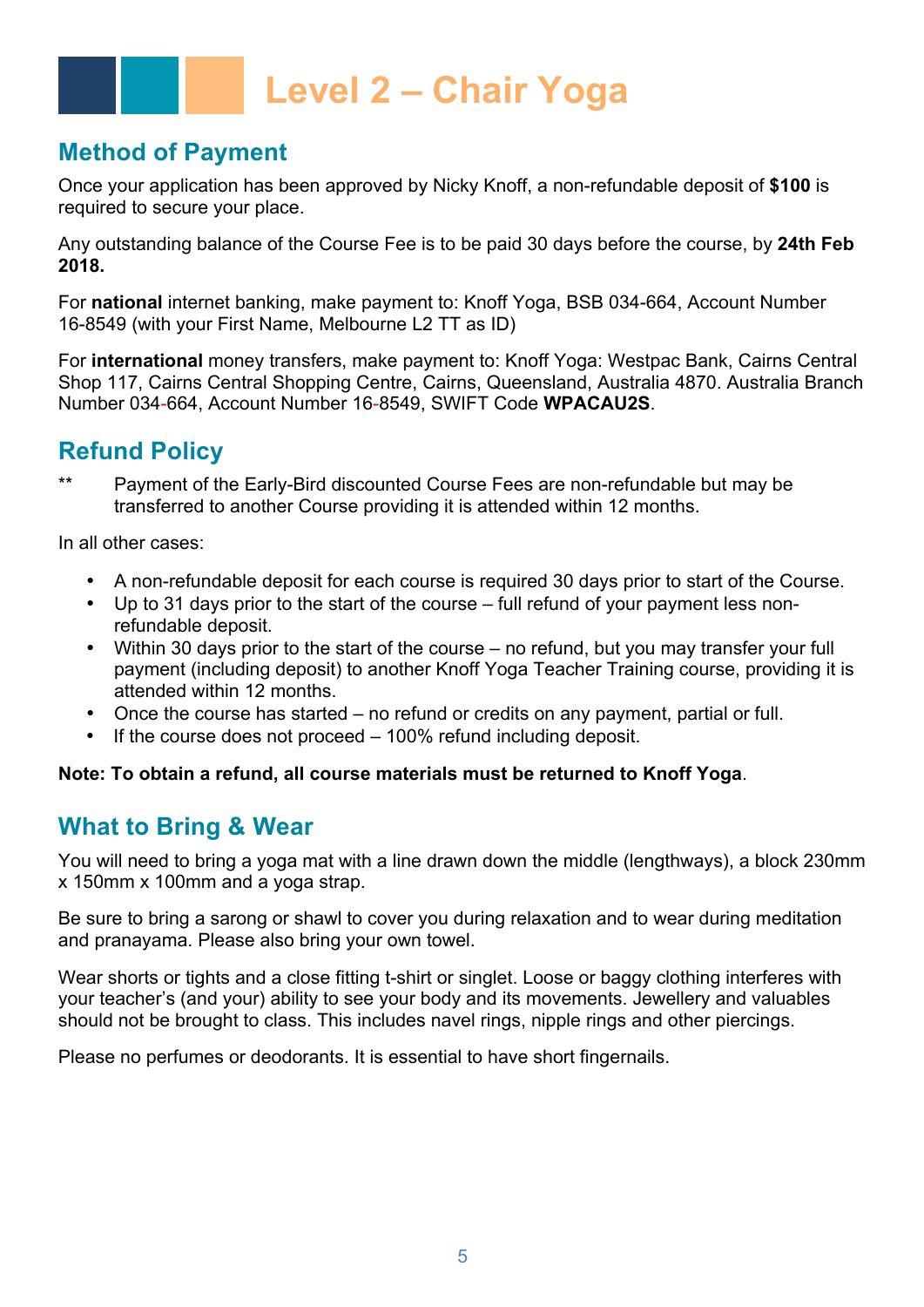## **Method of Payment**

Once your application has been approved by Nicky Knoff, a non-refundable deposit of **\$100** is required to secure your place.

Any outstanding balance of the Course Fee is to be paid 30 days before the course, by **24th Feb 2018.**

For **national** internet banking, make payment to: Knoff Yoga, BSB 034-664, Account Number 16-8549 (with your First Name, Melbourne L2 TT as ID)

For **international** money transfers, make payment to: Knoff Yoga: Westpac Bank, Cairns Central Shop 117, Cairns Central Shopping Centre, Cairns, Queensland, Australia 4870. Australia Branch Number 034-664, Account Number 16-8549, SWIFT Code **WPACAU2S**.

## **Refund Policy**

\*\* Payment of the Early-Bird discounted Course Fees are non-refundable but may be transferred to another Course providing it is attended within 12 months.

In all other cases:

- A non-refundable deposit for each course is required 30 days prior to start of the Course.
- Up to 31 days prior to the start of the course full refund of your payment less nonrefundable deposit.
- Within 30 days prior to the start of the course no refund, but you may transfer your full payment (including deposit) to another Knoff Yoga Teacher Training course, providing it is attended within 12 months.
- Once the course has started no refund or credits on any payment, partial or full.
- If the course does not proceed  $-100\%$  refund including deposit.

#### **Note: To obtain a refund, all course materials must be returned to Knoff Yoga**.

## **What to Bring & Wear**

You will need to bring a yoga mat with a line drawn down the middle (lengthways), a block 230mm x 150mm x 100mm and a yoga strap.

Be sure to bring a sarong or shawl to cover you during relaxation and to wear during meditation and pranayama. Please also bring your own towel.

Wear shorts or tights and a close fitting t-shirt or singlet. Loose or baggy clothing interferes with your teacher's (and your) ability to see your body and its movements. Jewellery and valuables should not be brought to class. This includes navel rings, nipple rings and other piercings.

Please no perfumes or deodorants. It is essential to have short fingernails.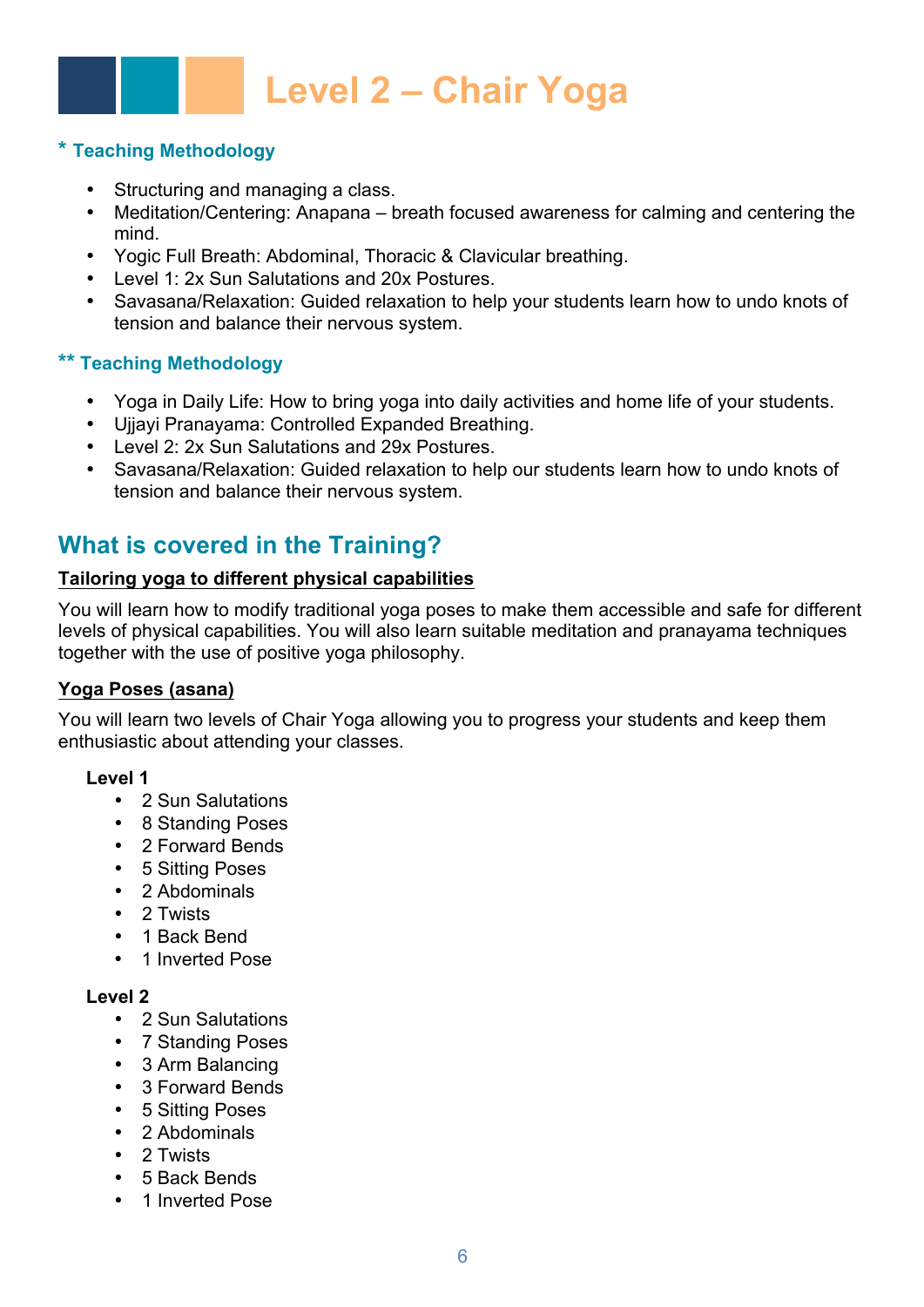### **\* Teaching Methodology**

- Structuring and managing a class.
- Meditation/Centering: Anapana breath focused awareness for calming and centering the mind.
- Yogic Full Breath: Abdominal, Thoracic & Clavicular breathing.
- Level 1: 2x Sun Salutations and 20x Postures.
- Savasana/Relaxation: Guided relaxation to help your students learn how to undo knots of tension and balance their nervous system.

#### **\*\* Teaching Methodology**

- Yoga in Daily Life: How to bring yoga into daily activities and home life of your students.
- Ujjayi Pranayama: Controlled Expanded Breathing.
- Level 2: 2x Sun Salutations and 29x Postures.
- Savasana/Relaxation: Guided relaxation to help our students learn how to undo knots of tension and balance their nervous system.

## **What is covered in the Training?**

#### **Tailoring yoga to different physical capabilities**

You will learn how to modify traditional yoga poses to make them accessible and safe for different levels of physical capabilities. You will also learn suitable meditation and pranayama techniques together with the use of positive yoga philosophy.

#### **Yoga Poses (asana)**

You will learn two levels of Chair Yoga allowing you to progress your students and keep them enthusiastic about attending your classes.

#### **Level 1**

- 2 Sun Salutations
- 8 Standing Poses
- 2 Forward Bends
- 5 Sitting Poses
- 2 Abdominals
- 2 Twists
- 1 Back Bend
- 1 Inverted Pose

#### **Level 2**

- 2 Sun Salutations
- 7 Standing Poses
- 3 Arm Balancing
- 3 Forward Bends
- 5 Sitting Poses
- 2 Abdominals
- 2 Twists
- 5 Back Bends
- 1 Inverted Pose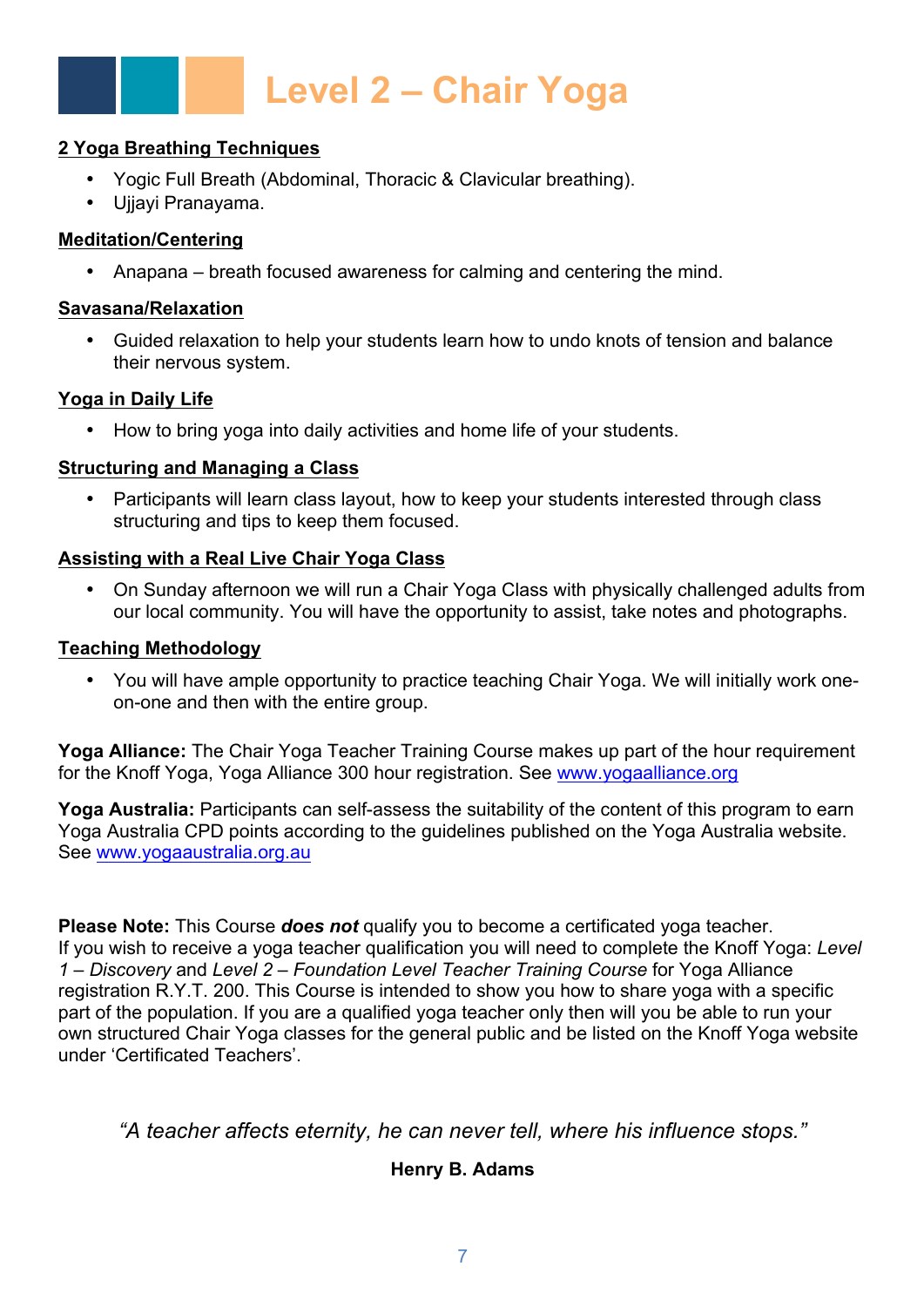#### **2 Yoga Breathing Techniques**

- Yogic Full Breath (Abdominal, Thoracic & Clavicular breathing).
- Ujjayi Pranayama.

#### **Meditation/Centering**

• Anapana – breath focused awareness for calming and centering the mind.

#### **Savasana/Relaxation**

• Guided relaxation to help your students learn how to undo knots of tension and balance their nervous system.

### **Yoga in Daily Life**

• How to bring yoga into daily activities and home life of your students.

### **Structuring and Managing a Class**

• Participants will learn class layout, how to keep your students interested through class structuring and tips to keep them focused.

## **Assisting with a Real Live Chair Yoga Class**

• On Sunday afternoon we will run a Chair Yoga Class with physically challenged adults from our local community. You will have the opportunity to assist, take notes and photographs.

#### **Teaching Methodology**

• You will have ample opportunity to practice teaching Chair Yoga. We will initially work oneon-one and then with the entire group.

**Yoga Alliance:** The Chair Yoga Teacher Training Course makes up part of the hour requirement for the Knoff Yoga, Yoga Alliance 300 hour registration. See www.yogaalliance.org

**Yoga Australia:** Participants can self-assess the suitability of the content of this program to earn Yoga Australia CPD points according to the guidelines published on the Yoga Australia website. See www.yogaaustralia.org.au

**Please Note:** This Course *does not* qualify you to become a certificated yoga teacher. If you wish to receive a yoga teacher qualification you will need to complete the Knoff Yoga: *Level 1 – Discovery* and *Level 2 – Foundation Level Teacher Training Course* for Yoga Alliance registration R.Y.T. 200. This Course is intended to show you how to share yoga with a specific part of the population. If you are a qualified yoga teacher only then will you be able to run your own structured Chair Yoga classes for the general public and be listed on the Knoff Yoga website under 'Certificated Teachers'.

*"A teacher affects eternity, he can never tell, where his influence stops."*

## **Henry B. Adams**